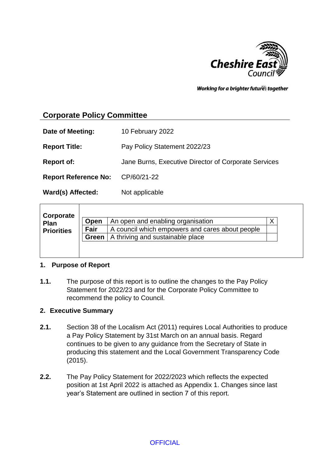

Working for a brighter futures together

# **Corporate Policy Committee**

| Date of Meeting:            | 10 February 2022                                     |
|-----------------------------|------------------------------------------------------|
| <b>Report Title:</b>        | Pay Policy Statement 2022/23                         |
| <b>Report of:</b>           | Jane Burns, Executive Director of Corporate Services |
| <b>Report Reference No:</b> | CP/60/21-22                                          |
| Ward(s) Affected:           | Not applicable                                       |

#### **1. Purpose of Report**

**1.1.** The purpose of this report is to outline the changes to the Pay Policy Statement for 2022/23 and for the Corporate Policy Committee to recommend the policy to Council.

#### **2. Executive Summary**

- **2.1.** Section 38 of the Localism Act (2011) requires Local Authorities to produce a Pay Policy Statement by 31st March on an annual basis. Regard continues to be given to any guidance from the Secretary of State in producing this statement and the Local Government Transparency Code (2015).
- **2.2.** The Pay Policy Statement for 2022/2023 which reflects the expected position at 1st April 2022 is attached as Appendix 1. Changes since last year's Statement are outlined in section 7 of this report.

**OFFICIAL**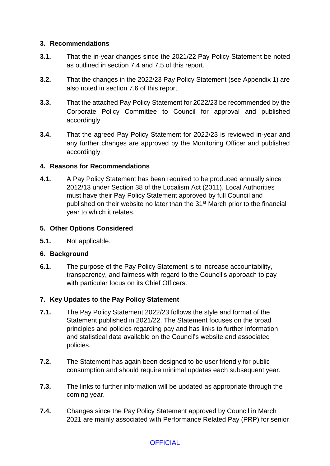### **3. Recommendations**

- **3.1.** That the in-year changes since the 2021/22 Pay Policy Statement be noted as outlined in section 7.4 and 7.5 of this report.
- **3.2.** That the changes in the 2022/23 Pay Policy Statement (see Appendix 1) are also noted in section 7.6 of this report.
- **3.3.** That the attached Pay Policy Statement for 2022/23 be recommended by the Corporate Policy Committee to Council for approval and published accordingly.
- **3.4.** That the agreed Pay Policy Statement for 2022/23 is reviewed in-year and any further changes are approved by the Monitoring Officer and published accordingly.

#### **4. Reasons for Recommendations**

**4.1.** A Pay Policy Statement has been required to be produced annually since 2012/13 under Section 38 of the Localism Act (2011). Local Authorities must have their Pay Policy Statement approved by full Council and published on their website no later than the 31<sup>st</sup> March prior to the financial year to which it relates.

#### **5. Other Options Considered**

**5.1.** Not applicable.

## **6. Background**

**6.1.** The purpose of the Pay Policy Statement is to increase accountability, transparency, and fairness with regard to the Council's approach to pay with particular focus on its Chief Officers.

## **7. Key Updates to the Pay Policy Statement**

- **7.1.** The Pay Policy Statement 2022/23 follows the style and format of the Statement published in 2021/22. The Statement focuses on the broad principles and policies regarding pay and has links to further information and statistical data available on the Council's website and associated policies.
- **7.2.** The Statement has again been designed to be user friendly for public consumption and should require minimal updates each subsequent year.
- **7.3.** The links to further information will be updated as appropriate through the coming year.
- **7.4.** Changes since the Pay Policy Statement approved by Council in March 2021 are mainly associated with Performance Related Pay (PRP) for senior

## **OFFICIAL**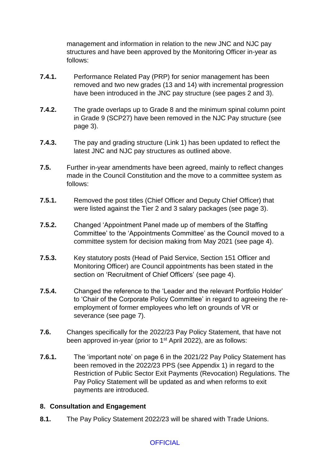management and information in relation to the new JNC and NJC pay structures and have been approved by the Monitoring Officer in-year as follows:

- **7.4.1.** Performance Related Pay (PRP) for senior management has been removed and two new grades (13 and 14) with incremental progression have been introduced in the JNC pay structure (see pages 2 and 3).
- **7.4.2.** The grade overlaps up to Grade 8 and the minimum spinal column point in Grade 9 (SCP27) have been removed in the NJC Pay structure (see page 3).
- **7.4.3.** The pay and grading structure (Link 1) has been updated to reflect the latest JNC and NJC pay structures as outlined above.
- **7.5.** Further in-year amendments have been agreed, mainly to reflect changes made in the Council Constitution and the move to a committee system as follows:
- **7.5.1.** Removed the post titles (Chief Officer and Deputy Chief Officer) that were listed against the Tier 2 and 3 salary packages (see page 3).
- **7.5.2.** Changed 'Appointment Panel made up of members of the Staffing Committee' to the 'Appointments Committee' as the Council moved to a committee system for decision making from May 2021 (see page 4).
- **7.5.3.** Key statutory posts (Head of Paid Service, Section 151 Officer and Monitoring Officer) are Council appointments has been stated in the section on 'Recruitment of Chief Officers' (see page 4).
- **7.5.4.** Changed the reference to the 'Leader and the relevant Portfolio Holder' to 'Chair of the Corporate Policy Committee' in regard to agreeing the reemployment of former employees who left on grounds of VR or severance (see page 7).
- **7.6.** Changes specifically for the 2022/23 Pay Policy Statement, that have not been approved in-year (prior to 1<sup>st</sup> April 2022), are as follows:
- **7.6.1.** The 'important note' on page 6 in the 2021/22 Pay Policy Statement has been removed in the 2022/23 PPS (see Appendix 1) in regard to the Restriction of Public Sector Exit Payments (Revocation) Regulations. The Pay Policy Statement will be updated as and when reforms to exit payments are introduced.

#### **8. Consultation and Engagement**

**8.1.** The Pay Policy Statement 2022/23 will be shared with Trade Unions.

## **OFFICIAL**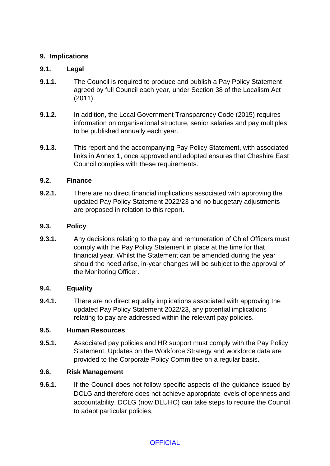### **9. Implications**

### **9.1. Legal**

- **9.1.1.** The Council is required to produce and publish a Pay Policy Statement agreed by full Council each year, under Section 38 of the Localism Act (2011).
- **9.1.2.** In addition, the Local Government Transparency Code (2015) requires information on organisational structure, senior salaries and pay multiples to be published annually each year.
- **9.1.3.** This report and the accompanying Pay Policy Statement, with associated links in Annex 1, once approved and adopted ensures that Cheshire East Council complies with these requirements.

#### **9.2. Finance**

**9.2.1.** There are no direct financial implications associated with approving the updated Pay Policy Statement 2022/23 and no budgetary adjustments are proposed in relation to this report.

#### **9.3. Policy**

**9.3.1.** Any decisions relating to the pay and remuneration of Chief Officers must comply with the Pay Policy Statement in place at the time for that financial year. Whilst the Statement can be amended during the year should the need arise, in-year changes will be subject to the approval of the Monitoring Officer.

#### **9.4. Equality**

**9.4.1.** There are no direct equality implications associated with approving the updated Pay Policy Statement 2022/23, any potential implications relating to pay are addressed within the relevant pay policies.

### **9.5. Human Resources**

**9.5.1.** Associated pay policies and HR support must comply with the Pay Policy Statement. Updates on the Workforce Strategy and workforce data are provided to the Corporate Policy Committee on a regular basis.

#### **9.6. Risk Management**

**9.6.1.** If the Council does not follow specific aspects of the guidance issued by DCLG and therefore does not achieve appropriate levels of openness and accountability, DCLG (now DLUHC) can take steps to require the Council to adapt particular policies.